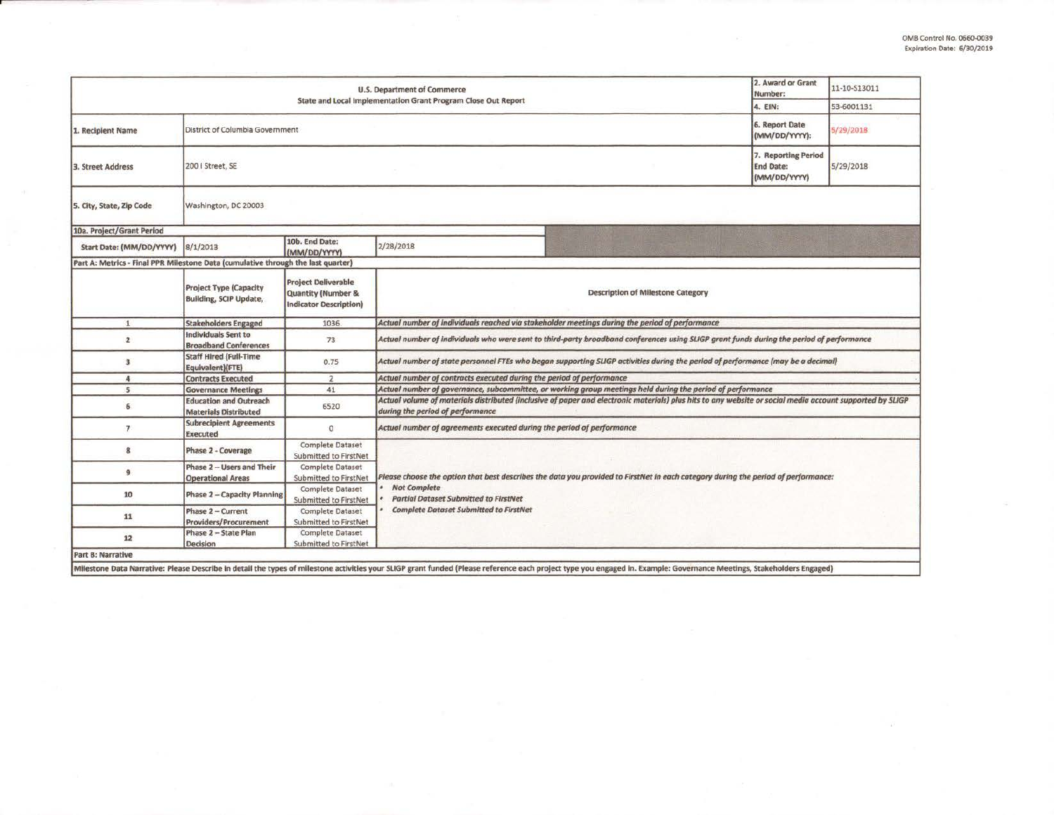| U.S. Department of Commerce<br>State and Local Implementation Grant Program Close Out Report |                                                                |                                                                                   |                                                                                                                                                                                                                       |  | 11-10-S13011 |  |  |  |
|----------------------------------------------------------------------------------------------|----------------------------------------------------------------|-----------------------------------------------------------------------------------|-----------------------------------------------------------------------------------------------------------------------------------------------------------------------------------------------------------------------|--|--------------|--|--|--|
|                                                                                              |                                                                |                                                                                   |                                                                                                                                                                                                                       |  | 53-6001131   |  |  |  |
| L. Recipient Name                                                                            | District of Columbia Government                                |                                                                                   |                                                                                                                                                                                                                       |  | 5/29/2018    |  |  |  |
| 3. Street Address                                                                            | 200   Street, SE                                               | 7. Reporting Period<br><b>End Date:</b><br>(MM/DD/YYYY)                           | 5/29/2018                                                                                                                                                                                                             |  |              |  |  |  |
| 5. City, State, Zip Code                                                                     | Washington, DC 20003                                           |                                                                                   |                                                                                                                                                                                                                       |  |              |  |  |  |
| 10a. Project/Grant Period                                                                    |                                                                |                                                                                   |                                                                                                                                                                                                                       |  |              |  |  |  |
| Start Date: (MM/DD/YYYY)                                                                     | 8/1/2013                                                       | 10b. End Date:<br>(MM/DD/YYYY)                                                    | 2/28/2018                                                                                                                                                                                                             |  |              |  |  |  |
| Part A: Metrics - Final PPR Milestone Data (cumulative through the last quarter)             |                                                                |                                                                                   |                                                                                                                                                                                                                       |  |              |  |  |  |
|                                                                                              | <b>Project Type (Capacity</b><br><b>Building, SCIP Update,</b> | <b>Project Deliverable</b><br>Quantity (Number &<br><b>Indicator Description)</b> | <b>Description of Milestone Category</b>                                                                                                                                                                              |  |              |  |  |  |
| $\mathbf{1}$                                                                                 | <b>Stakeholders Engaged</b>                                    | 1036                                                                              | Actual number of individuals reached via stakeholder meetings during the period of performance                                                                                                                        |  |              |  |  |  |
| $\mathbf{z}$                                                                                 | <b>Individuals Sent to</b><br><b>Broadband Conferences</b>     | 73                                                                                | Actual number of individuals who were sent to third-party broadband conferences using SLIGP grant funds during the period of performance                                                                              |  |              |  |  |  |
| з                                                                                            | <b>Staff Hired (Full-Time</b><br>Equivalent)(FTE)              | 0.75                                                                              | Actual number of state personnel FTEs who began supporting SLIGP activities during the period of performance (may be a decimal)                                                                                       |  |              |  |  |  |
| $\overline{A}$                                                                               | <b>Contracts Executed</b>                                      | $\overline{2}$                                                                    | Actual number of contracts executed during the period of performance                                                                                                                                                  |  |              |  |  |  |
| 5                                                                                            | <b>Governance Meetings</b>                                     | 41                                                                                | Actual number of governance, subcommittee, or working group meetings held during the period of performance                                                                                                            |  |              |  |  |  |
| 6                                                                                            | <b>Education and Outreach</b><br><b>Materials Distributed</b>  | 6520                                                                              | Actual volume of materials distributed (inclusive of paper and electronic materials) plus hits to any website or social media account supported by SLIGP<br>during the period of performance                          |  |              |  |  |  |
| $\overline{7}$                                                                               | <b>Subrecipient Agreements</b><br>Executed                     | $\circ$                                                                           | Actual number of agreements executed during the period of performance                                                                                                                                                 |  |              |  |  |  |
| 8                                                                                            | Phase 2 - Coverage                                             | Complete Dataset<br>Submitted to FirstNet                                         |                                                                                                                                                                                                                       |  |              |  |  |  |
| q                                                                                            | Phase 2 - Users and Their<br><b>Operational Areas</b>          | Complete Dataset<br>Submitted to FirstNet                                         | Please choose the option that best describes the data you provided to FirstNet in each category during the period of performance:<br><b>Not Complete</b><br><b>Partial Dataset Submitted to FirstNet</b>              |  |              |  |  |  |
| 10                                                                                           | <b>Phase 2 - Capacity Planning</b>                             | <b>Complete Dataset</b><br>Submitted to FirstNet                                  |                                                                                                                                                                                                                       |  |              |  |  |  |
| 11                                                                                           | Phase 2 - Current<br><b>Providers/Procurement</b>              | Complete Dataset<br>Submitted to FirstNet                                         | <b>Complete Dataset Submitted to FirstNet</b>                                                                                                                                                                         |  |              |  |  |  |
| 12                                                                                           | Phase 2 - State Plan<br>Decision                               | <b>Complete Dataset</b><br>Submitted to FirstNet                                  |                                                                                                                                                                                                                       |  |              |  |  |  |
| Part B: Narrative                                                                            |                                                                |                                                                                   |                                                                                                                                                                                                                       |  |              |  |  |  |
|                                                                                              |                                                                |                                                                                   | Milestone Data Narrative: Please Describe in detail the types of milestone activities your SLIGP grant funded (Please reference each project type you engaged in. Example: Governance Meetings, Stakeholders Engaged) |  |              |  |  |  |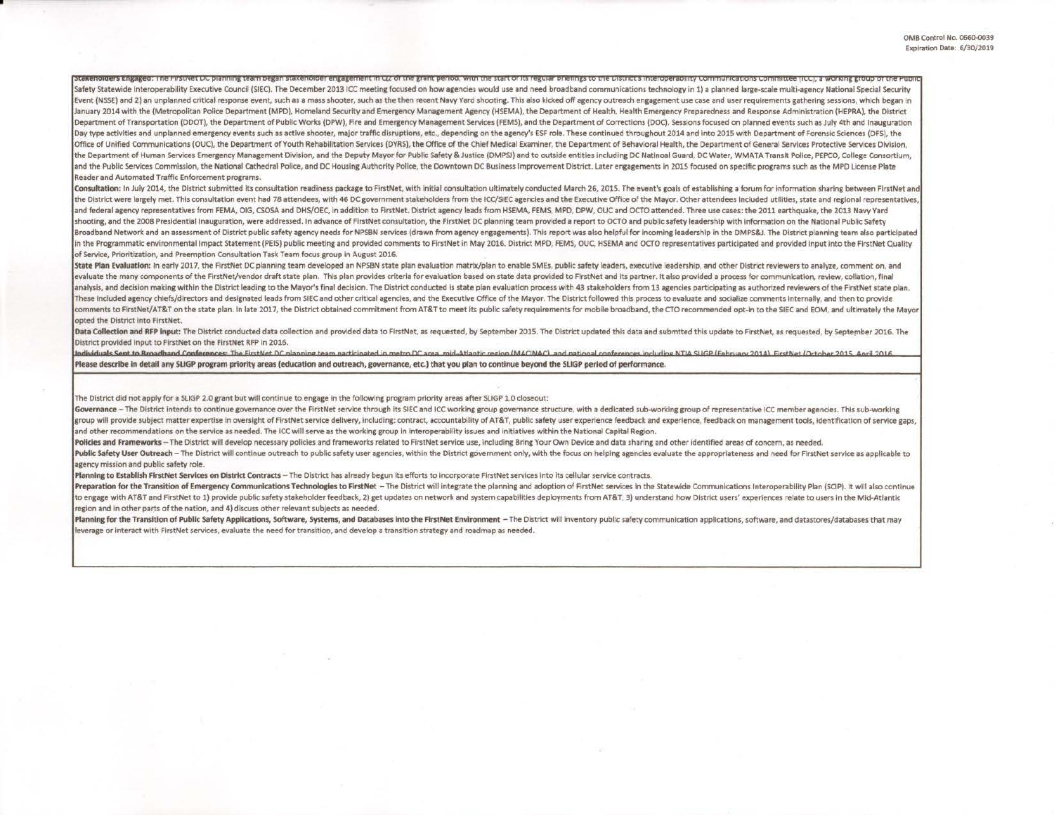Stakeholders Enkaged: The Firstivet Du planning team began stakeholder engagement in QZ of the grant period, with the start of its regular prienings to the Districts Interoperability Communications Committee (ICC), a worki Safety Statewide Interoperability Executive Council (SIEC). The December 2013 ICC meeting focused on how agencies would use and need broadband communications technology in 1) a planned large-scale multi-agency National Spe Event (NSSE) and 2) an unplanned critical response event, such as a mass shooter, such as the then recent Navy Yard shooting. This also kicked off agency outreach engagement use case and user requirements gathering session January 2014 with the (Metropolitan Police Department (MPD), Homeland Security and Emergency Management Agency (HSEMA), the Department of Health, Health Emergency Preparedness and Response Administration (HEPRA), the Distr Department of Transportation (DDOT), the Department of Public Works (DPW), Fire and Emergency Management Services (FEMS), and the Department of Corrections (DOC). Sessions focused on planned events such as July 4th and Ina Day type activities and unplanned emergency events such as active shooter, major traffic disruptions, etc., depending on the agency's ESF role. These continued throughout 2014 and into 2015 with Department of Forensic Scie Office of Unified Communications (OUC), the Department of Youth Rehabilitation Services (DYRS), the Office of the Chief Medical Examiner, the Department of Behavioral Health, the Department of General Services Protective S the Department of Human Services Emergency Management Division, and the Deputy Mayor for Public Safety & Justice (DMPSJ) and to outside entities including DC Natinoal Guard, DC Water, WMATA Transit Police, PEPCO, College C and the Public Services Commission, the National Cathedral Police, and DC Housing Authority Police, the Downtown DC Business Improvement District. Later engagements in 2015 focused on specific programs such as the MPD Lice Reader and Automated Traffic Enforcement programs. I

Consultation: In July 2014, the District submitted its consultation readiness package to FirstNet, with initial consultation ultimately conducted March 26, 2015. The event's goals of establishing a forum for information sh the District were largely met. This consultation event had 78 attendees, with 46 DC government stakeholders from the ICC/SIEC agencies and the Executive Office of the Mayor. Other attendees included utilities, state and re and federal agency representatives from FEMA, OIG, CSOSA and DHS/OEC. In addition to FirstNet. District agency leads from HSEMA, FEMS, MPD, DPW, OUC and OCTO attended. Three use cases: the 2011 earthquake, the 2013 Navy Ya shooting, and the 2008 Presidential inauguration, were addressed. In advance of FirstNet consultation, the FirstNet DC planning team provided a report to OCTO and public safety leadership with information on the National P Broadband Network and an assessment of District public safety agency needs for NPSBN services (drawn from agency engagements). This report was also helpful for incoming leadership in the DMPS&J. The District planning team in the Programmatic environmental Impact Statement (PEIS) public meeting and provided comments to FirstNet in May 2016. District MPD, FEMS, OUC, HSEMA and OCTO representatives participated and provided input into the First of Service, Prioritization, and Preemption Consultation Task Team focus group In Aucust 2016.

State Plan Evaluation: In early 2017, the FirstNet DC planning team developed an NPSBN state plan evaluation matrix/plan to enable SMEs, public safety leaders, executive leadership, and other District reviewers to analyze, evaluate the many components of the FirstNet/vendor draft state plan. This plan provides criteria for evaluation based on state data provided to FirstNet and its partner. It also provided a process for communication, revie analysis, and decision making within the District leading to the Mayor's final decision. The District conducted is state plan evaluation process with 43 stakeholders from 13 agencies participating as authorized reviewers o These included agency chiefs/directors and designated leads from SIEC and other critical agencies, and the Executive Office of the Mayor. The District followed this process to evaluate and socialize comments internally, an comments to FirstNet/AT&T on the state plan. In late 2017, the District obtained commitment from AT&T to meet its public safety requirements for mobile broadband, the CTO recommended opt-in to the SIEC and EOM, and ultimat opted the District Into FlrstNet.

Data Collection and RFP input: The District conducted data collection and provided data to FirstNet, as requested, by September 2015. The District updated this data and submtted this update to FirstNet, as requested, by Se District provided Input to FlrstNet on the FlrstNet RFP In 2016.

Individuals Sent to Broadband Conferences: The FirstNet DC planning team participated in metro DC area mid-Atlantic region (MACINAC), and pational conferences including NTIA SLIGP (February 2014). FirstNet (October 2015, A Please describe in detail any SLIGP program priority areas (education and outreach, governance, etc.) that you plan to continue beyond the SLIGP period of performance.

The District did not apply for a SLIGP 2.0 grant but will continue to engage in the following program priority areas after SLIGP 1.0 closeout:

Governance - The District intends to continue governance over the FirstNet service through its SIEC and ICC working group governance structure, with a dedicated sub-working group of representative ICC member agencies. This group will provide subject matter expertise in oversight of FirstNet service delivery, including: contract, accountability of AT&T, public safety user experience feedback and experience, feedback on management tools, ident and other recommendations on the service as needed. The ICC will serve as the working group in interoperability issues and initiatives within the National Capital Region.

Policies and Frameworks - The District will develop necessary policies and frameworks related to FirstNet service use, including Bring Your Own Device and data sharing and other identified areas of concern, as needed.

Public Safety User Outreach - The District will continue outreach to public safety user agencies, within the District government only, with the focus on helping agencies evaluate the appropriateness and need for FirstNet s agency mission and public safety role.

Planning to Establish FirstNet Services on District Contracts - The District has already begun its efforts to incorporate FirstNet services into its cellular service contracts.

Preparation for the Transition of Emergency Communications Technologies to FirstNet - The District will integrate the planning and adoption of FirstNet services in the Statewide Communications Interoperability Plan (SCIP). to engage with AT&T and FirstNet to 1) provide public safety stakeholder feedback, 2) get updates on network and system capabilities deployments from AT&T, 3) understand how District users' experiences relate to users in t region and in other parts of the nation, and 4) discuss other relevant subjects as needed.

Planning for the Transition of Public Safety Applications, Software, Systems, and Databases into the FirstNet Environment - The District will inventory public safety communication applications, software, and datastores/dat leverage or interact with FirstNet services, evaluate the need for transition, and develop a transition strategy and roadmap as needed.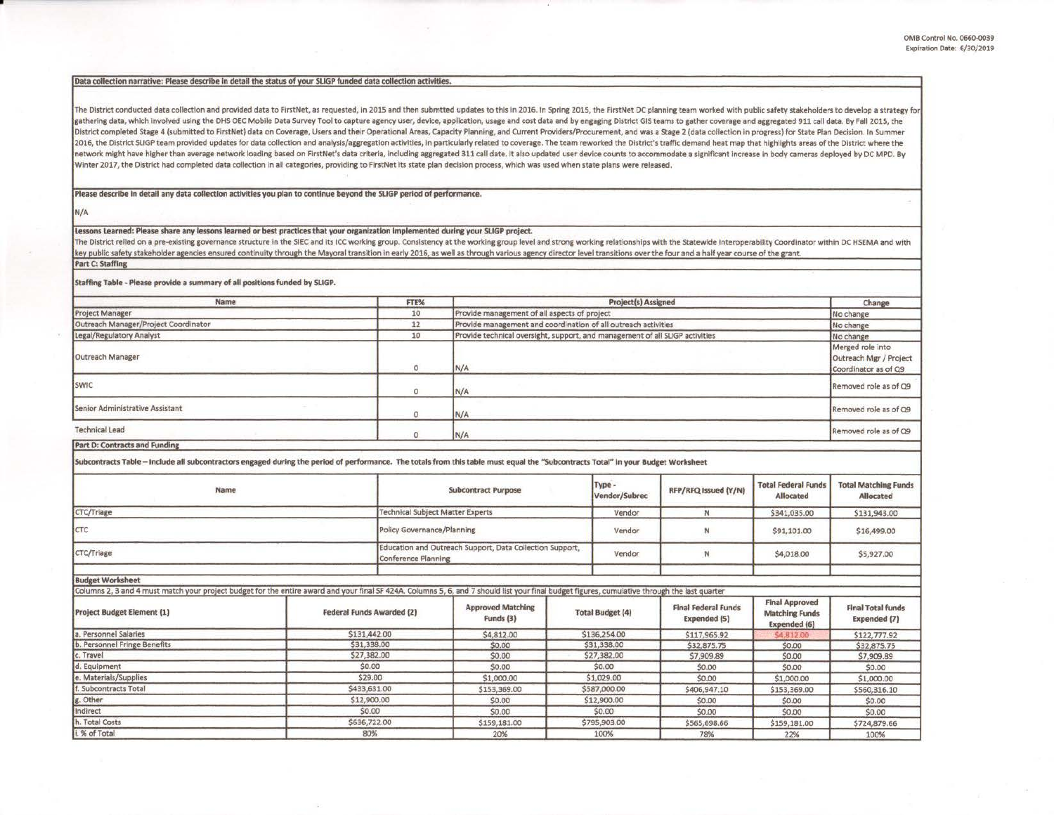Data collection narrative: Please describe in detail the status of your SLIGP funded data collection activities.

The District conducted data collection and provided data to FirstNet, as requested, in 2015 and then submtted updates to this in 2016. In Spring 2015, the FirstNet DC planning team worked with public safety stakeholders to gathering data, which involved using the DHS OEC Mobile Data Survey Tool to capture agency user, device, application, usage and cost data and by engaging District GIS teams to gather coverage and aggregated 911 call data. District completed Stage 4 (submitted to FirstNet) data on Coverage, Users and their Operational Areas, Capacity Planning, and Current Providers/Procurement, and was a Stage 2 (data collection in progress) for State Plan D 2016, the District SLIGP team provided updates for data collection and analysis/aggregation activities, in particularly related to coverage. The team reworked the District's traffic demand heat map that highlights areas of network might have higher than average network loading based on FirstNet's data criteria, including aggregated 311 call date. It also updated user device counts to accommodate a significant increase in body cameras deploye Winter 2017, the District had completed data collection in all categories, providing to FirstNet its state plan decision process, which was used when state plans were released.

Please describe in detail any data collection activities you plan to continue beyond the SLIGP period of performance.

N/A

Lessons Learned: Please share any lessons learned or best practices that your organization implemented during your SLIGP project.

The District relled on a pre-existing governance structure in the SIEC and its ICC working group. Consistency at the working group level and strong working relationships with the Statewide Interoperability Coordinator with key public safety stakeholder agencies ensured continuity through the Mayoral transition in early 2016, as well as through various agency director level transitions over the four and a half year course of the grant. Part C: Staffing

Staffing Table - Please provide a summary of all positions funded by SLIGP.

| Name                                 | FTE%       | Project(s) Assigned                                                          | Change                                                             |
|--------------------------------------|------------|------------------------------------------------------------------------------|--------------------------------------------------------------------|
| Project Manager                      | 10         | Provide management of all aspects of project                                 | No change                                                          |
| Outreach Manager/Project Coordinator | 12         | Provide management and coordination of all outreach activities               | No change                                                          |
| Legal/Regulatory Analyst             | 10         | Provide technical oversight, support, and management of all SLIGP activities | No change                                                          |
| Outreach Manager                     | $^{\circ}$ | N/A                                                                          | Merged role into<br>Outreach Mgr / Project<br>Coordinator as of Q9 |
| <b>SWIC</b>                          | O.         | N/A                                                                          | Removed role as of O9                                              |
| Senior Administrative Assistant      |            | N/A                                                                          | Removed role as of Q9                                              |
| <b>Technical Lead</b>                |            | N/A                                                                          | Removed role as of Q9                                              |
| Part D: Contracts and Funding        |            |                                                                              |                                                                    |

Subcontracts Table - Include all subcontractors engaged during the period of performance. The totals from this table must equal the "Subcontracts Total" In your Budget Worksheet

| Name<br>CTC/Triage<br>CTC                                                                                                                                                                     |                                  |                                                                                 | <b>Subcontract Purpose</b>                        | Type -<br>Vendor/Subrec |                         | RFP/RFQ Issued (Y/N)                       | <b>Total Federal Funds</b><br><b>Allocated</b>                 | <b>Total Matching Funds</b><br>Allocated |
|-----------------------------------------------------------------------------------------------------------------------------------------------------------------------------------------------|----------------------------------|---------------------------------------------------------------------------------|---------------------------------------------------|-------------------------|-------------------------|--------------------------------------------|----------------------------------------------------------------|------------------------------------------|
|                                                                                                                                                                                               |                                  |                                                                                 | <b>Technical Subject Matter Experts</b><br>Vendor |                         | N<br>N                  | \$341,035.00<br>\$91,101.00                | \$131,943.00<br>\$16,499.00                                    |                                          |
|                                                                                                                                                                                               |                                  | Policy Governance/Planning                                                      |                                                   | Vendor                  |                         |                                            |                                                                |                                          |
| <b>CTC/Triage</b>                                                                                                                                                                             |                                  | Education and Outreach Support, Data Collection Support,<br>Conference Planning |                                                   | Vendor                  | N                       | \$4,018.00                                 | \$5,927.00                                                     |                                          |
| <b>Budget Worksheet</b>                                                                                                                                                                       |                                  |                                                                                 |                                                   |                         |                         |                                            |                                                                |                                          |
| Columns 2, 3 and 4 must match your project budget for the entire award and your final SF 424A. Columns 5, 6, and 7 should list your final budget figures, cumulative through the last quarter |                                  |                                                                                 |                                                   |                         |                         |                                            |                                                                |                                          |
| <b>Project Budget Element (1)</b>                                                                                                                                                             | <b>Federal Funds Awarded (2)</b> |                                                                                 | <b>Approved Matching</b><br>Funds (3)             |                         | <b>Total Budget (4)</b> | <b>Final Federal Funds</b><br>Expended (5) | <b>Final Approved</b><br><b>Matching Funds</b><br>Expended (6) | <b>Final Total funds</b><br>Expended (7) |
| a. Personnel Salaries                                                                                                                                                                         | \$131,442.00                     |                                                                                 | \$4,812.00                                        |                         | \$136,254.00            | \$117,965.92                               | \$4,812.00                                                     | \$122,777.92                             |
| b. Personnel Fringe Benefits                                                                                                                                                                  | \$31,338.00                      |                                                                                 | \$0.00                                            |                         | \$31,338.00             | \$32,875.75                                | \$0.00                                                         | \$32,875.75                              |
| c. Travel                                                                                                                                                                                     | \$27,382.00                      |                                                                                 | \$0.00                                            |                         | \$27,382.00             | \$7,909.89                                 | \$0.00                                                         | \$7,909.89                               |
| d. Equipment                                                                                                                                                                                  | \$0.00                           |                                                                                 | \$0.00                                            |                         | \$0.00                  | \$0.00                                     | \$0.00                                                         | \$0,00                                   |
| e. Materials/Supplies                                                                                                                                                                         |                                  | \$29.00                                                                         |                                                   |                         | \$1,029.00              | \$0.00                                     | \$1,000.00                                                     | \$1,000.00                               |
| f. Subcontracts Total                                                                                                                                                                         |                                  | \$433,631.00                                                                    |                                                   |                         | \$587,000.00            | \$406,947.10                               | \$153,369.00                                                   | \$560,316.10                             |
| g. Other                                                                                                                                                                                      |                                  | \$12,900.00                                                                     |                                                   |                         | \$12,900.00             | \$0.00                                     | \$0.00                                                         | \$0.00                                   |
| Indirect                                                                                                                                                                                      |                                  | \$0.00                                                                          |                                                   |                         | \$0.00                  | \$0.00                                     | \$0.00                                                         | \$0.00                                   |
| h. Total Costs                                                                                                                                                                                |                                  | \$636,722.00                                                                    |                                                   |                         | \$795,903.00            | \$565,698.66                               | \$159,181.00                                                   | \$724,879.66                             |
| i. % of Total                                                                                                                                                                                 | 80%                              |                                                                                 | 20%                                               |                         | 100%                    | 78%                                        | 22%                                                            | 100%                                     |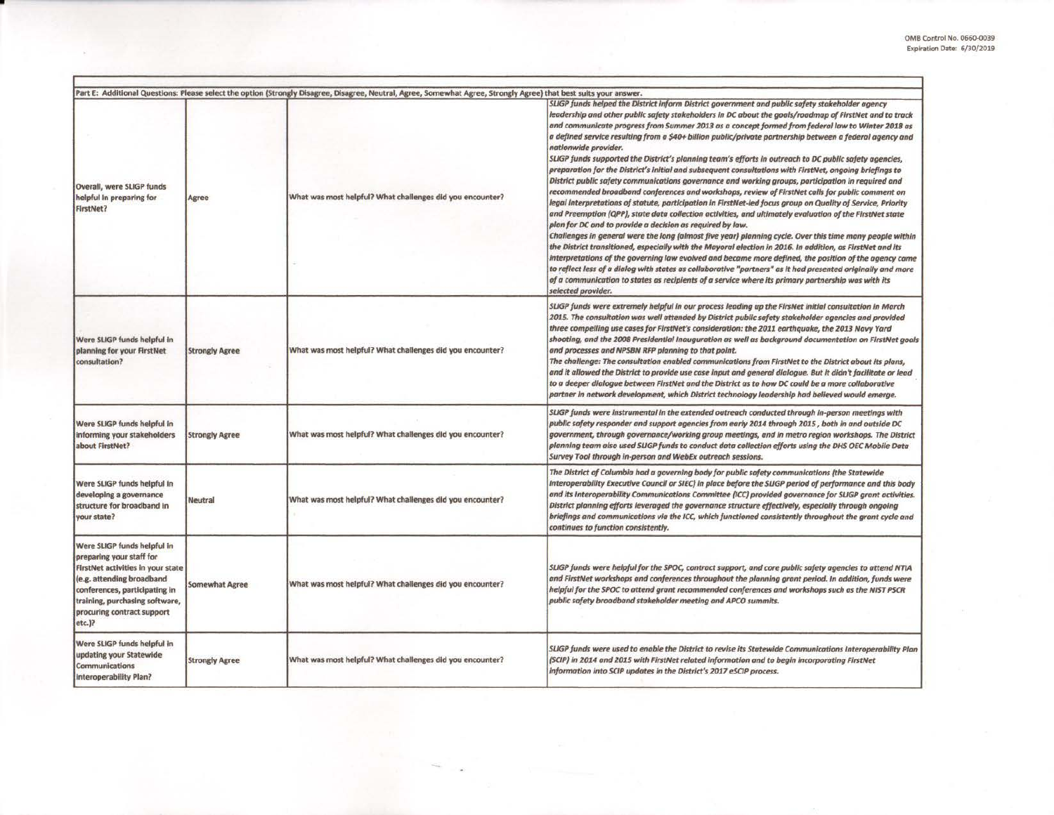|                                                                                                                                                                                                                                      |                       | Part E: Additional Questions: Please select the option (Strongly Disagree, Disagree, Neutral, Agree, Somewhat Agree, Strongly Agree) that best suits your answer. |                                                                                                                                                                                                                                                                                                                                                                                                                                                                                                                                                                                                                                                                                                                                                                                                                                                                                                                                                                                                                                                                                                                                                                                                                                                                                                                                                                                                                                                                                                                                                                                                                                                                                                                                                     |
|--------------------------------------------------------------------------------------------------------------------------------------------------------------------------------------------------------------------------------------|-----------------------|-------------------------------------------------------------------------------------------------------------------------------------------------------------------|-----------------------------------------------------------------------------------------------------------------------------------------------------------------------------------------------------------------------------------------------------------------------------------------------------------------------------------------------------------------------------------------------------------------------------------------------------------------------------------------------------------------------------------------------------------------------------------------------------------------------------------------------------------------------------------------------------------------------------------------------------------------------------------------------------------------------------------------------------------------------------------------------------------------------------------------------------------------------------------------------------------------------------------------------------------------------------------------------------------------------------------------------------------------------------------------------------------------------------------------------------------------------------------------------------------------------------------------------------------------------------------------------------------------------------------------------------------------------------------------------------------------------------------------------------------------------------------------------------------------------------------------------------------------------------------------------------------------------------------------------------|
| Overall, were SLIGP funds<br>helpful in preparing for<br>FirstNet?                                                                                                                                                                   | <b>Agree</b>          | What was most helpful? What challenges did you encounter?                                                                                                         | SLIGP funds helped the District inform District government and public safety stakeholder agency<br>leadership and other public safety stakeholders in DC about the goals/roadmap of FirstNet and to track<br>and communicate progress from Summer 2013 as a concept formed from federal law to Winter 2018 as<br>a defined service resulting from a \$40+ billion public/private partnership between a federal agency and<br>nationwide provider.<br>SLIGP funds supported the District's planning team's efforts in outreach to DC public safety agencies,<br>preparation for the District's initial and subsequent consultations with FirstNet, ongoing briefings to<br>District public safety communications governance and working groups, participation in required and<br>recommended broadband conferences and workshops, review of FirstNet calls for public comment on<br>legal Interpretations of statute, participation in FirstNet-led focus group on Quality of Service, Priority<br>and Preemption (QPP), state data collection activities, and ultimately evaluation of the FirstNet state<br>plan for DC and to provide a decision as required by law.<br>Challenges in general were the long (almost five year) planning cycle. Over this time many people within<br>the District transitioned, especially with the Mayoral election in 2016. In addition, as FirstNet and its<br>interpretations of the governing law evolved and became more defined, the position of the agency came<br>to reflect less of a dialog with states as collaborative "partners" as it had presented originally and more<br>of a communication to states as recipients of a service where its primary partnership was with its<br>selected provider. |
| Were SLIGP funds helpful in<br>planning for your FirstNet<br>consultation?                                                                                                                                                           | <b>Strongly Agree</b> | What was most helpful? What challenges did you encounter?                                                                                                         | SLIGP funds were extremely helpful in our process leading up the FirsNet initial consultation in March<br>2015. The consultation was well attended by District public safety stakeholder agencies and provided<br>three compelling use cases for FirstNet's consideration: the 2011 earthquake, the 2013 Navy Yard<br>shooting, and the 2008 Presidential Inauguration as well as background documentation on FirstNet goals<br>and processes and NPSBN RFP planning to that point.<br>The challenge: The consultation enabled communications from FirstNet to the District about its plans,<br>and it allowed the District to provide use case input and general dialogue. But it didn't facilitate or lead<br>to a deeper dialogue between FirstNet and the District as to how DC could be a more collaborative<br>partner in network development, which District technology leadership had believed would emerge.                                                                                                                                                                                                                                                                                                                                                                                                                                                                                                                                                                                                                                                                                                                                                                                                                                |
| Were SLIGP funds helpful in<br>informing your stakeholders<br>about FirstNet?                                                                                                                                                        | <b>Strongly Agree</b> | What was most helpful? What challenges did you encounter?                                                                                                         | SLIGP funds were instrumental in the extended outreach conducted through in-person meetings with<br>public safety responder and support agencies from early 2014 through 2015, both in and outside DC<br>government, through governance/working group meetings, and in metro region workshops. The District<br>planning team also used SLIGP funds to conduct data collection efforts using the DHS OEC Mobile Data<br>Survey Tool through in-person and WebEx outreach sessions.                                                                                                                                                                                                                                                                                                                                                                                                                                                                                                                                                                                                                                                                                                                                                                                                                                                                                                                                                                                                                                                                                                                                                                                                                                                                   |
| Were SLIGP funds helpful in<br>developing a governance<br>structure for broadband in<br>your state?                                                                                                                                  | Neutral               | What was most helpful? What challenges did you encounter?                                                                                                         | The District of Columbia had a governing body for public safety communications (the Statewide<br>Interoperability Executive Council or SIEC) in place before the SLIGP period of performance and this body<br>and its interoperability Communications Committee (ICC) provided governance for SUGP grant activities.<br>District planning efforts leveraged the governance structure effectively, especially through ongoing<br>briefings and communications via the ICC, which functioned consistently throughout the grant cycle and<br>continues to function consistently.                                                                                                                                                                                                                                                                                                                                                                                                                                                                                                                                                                                                                                                                                                                                                                                                                                                                                                                                                                                                                                                                                                                                                                       |
| Were SLIGP funds helpful in<br>preparing your staff for<br>FirstNet activities in your state<br>(e.g. attending broadband<br>conferences, participating in<br>training, purchasing software,<br>procuring contract support<br>etc.)? | <b>Somewhat Agree</b> | What was most helpful? What challenges did you encounter?                                                                                                         | SLIGP funds were helpful for the SPOC, contract support, and core public safety agencies to attend NTIA<br>and FirstNet workshops and conferences throughout the planning grant period. In addition, funds were<br>helpful for the SPOC to attend grant recommended conferences and workshops such as the NIST PSCR<br>public safety broadband stakeholder meeting and APCO summits.                                                                                                                                                                                                                                                                                                                                                                                                                                                                                                                                                                                                                                                                                                                                                                                                                                                                                                                                                                                                                                                                                                                                                                                                                                                                                                                                                                |
| Were SLIGP funds helpful in<br>updating your Statewide<br><b>Communications</b><br>Interoperability Plan?                                                                                                                            | <b>Strongly Agree</b> | What was most helpful? What challenges did you encounter?                                                                                                         | SUGP funds were used to enable the District to revise its Statewide Communications Interoperability Plan<br>(SCIP) in 2014 and 2015 with FirstNet related information and to begin incorporating FirstNet<br>information into SCIP updates in the District's 2017 eSCIP process.                                                                                                                                                                                                                                                                                                                                                                                                                                                                                                                                                                                                                                                                                                                                                                                                                                                                                                                                                                                                                                                                                                                                                                                                                                                                                                                                                                                                                                                                    |